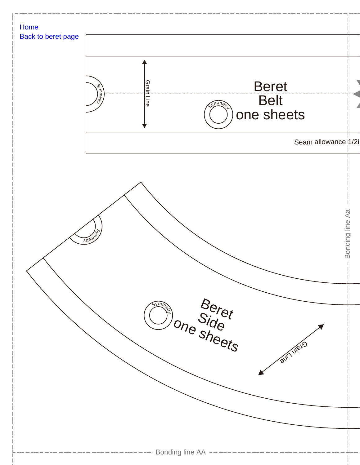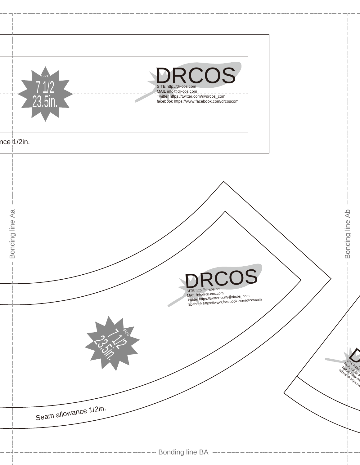